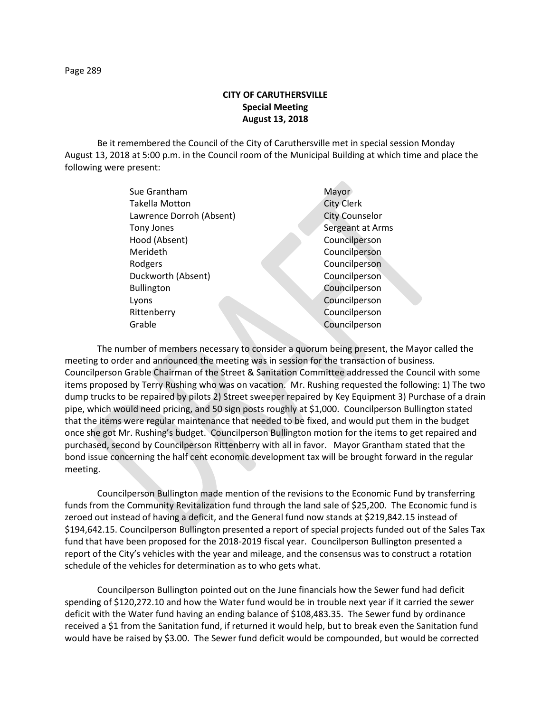## **CITY OF CARUTHERSVILLE Special Meeting August 13, 2018**

Be it remembered the Council of the City of Caruthersville met in special session Monday August 13, 2018 at 5:00 p.m. in the Council room of the Municipal Building at which time and place the following were present:

| Sue Grantham             | Mayor                 |
|--------------------------|-----------------------|
| Takella Motton           | <b>City Clerk</b>     |
| Lawrence Dorroh (Absent) | <b>City Counselor</b> |
| <b>Tony Jones</b>        | Sergeant at Arms      |
| Hood (Absent)            | Councilperson         |
| Merideth                 | Councilperson         |
| Rodgers                  | Councilperson         |
| Duckworth (Absent)       | Councilperson         |
| <b>Bullington</b>        | Councilperson         |
| Lyons                    | Councilperson         |
| Rittenberry              | Councilperson         |
| Grable                   | Councilperson         |
|                          |                       |

The number of members necessary to consider a quorum being present, the Mayor called the meeting to order and announced the meeting was in session for the transaction of business. Councilperson Grable Chairman of the Street & Sanitation Committee addressed the Council with some items proposed by Terry Rushing who was on vacation. Mr. Rushing requested the following: 1) The two dump trucks to be repaired by pilots 2) Street sweeper repaired by Key Equipment 3) Purchase of a drain pipe, which would need pricing, and 50 sign posts roughly at \$1,000. Councilperson Bullington stated that the items were regular maintenance that needed to be fixed, and would put them in the budget once she got Mr. Rushing's budget. Councilperson Bullington motion for the items to get repaired and purchased, second by Councilperson Rittenberry with all in favor. Mayor Grantham stated that the bond issue concerning the half cent economic development tax will be brought forward in the regular meeting.

Councilperson Bullington made mention of the revisions to the Economic Fund by transferring funds from the Community Revitalization fund through the land sale of \$25,200. The Economic fund is zeroed out instead of having a deficit, and the General fund now stands at \$219,842.15 instead of \$194,642.15. Councilperson Bullington presented a report of special projects funded out of the Sales Tax fund that have been proposed for the 2018-2019 fiscal year. Councilperson Bullington presented a report of the City's vehicles with the year and mileage, and the consensus was to construct a rotation schedule of the vehicles for determination as to who gets what.

Councilperson Bullington pointed out on the June financials how the Sewer fund had deficit spending of \$120,272.10 and how the Water fund would be in trouble next year if it carried the sewer deficit with the Water fund having an ending balance of \$108,483.35. The Sewer fund by ordinance received a \$1 from the Sanitation fund, if returned it would help, but to break even the Sanitation fund would have be raised by \$3.00. The Sewer fund deficit would be compounded, but would be corrected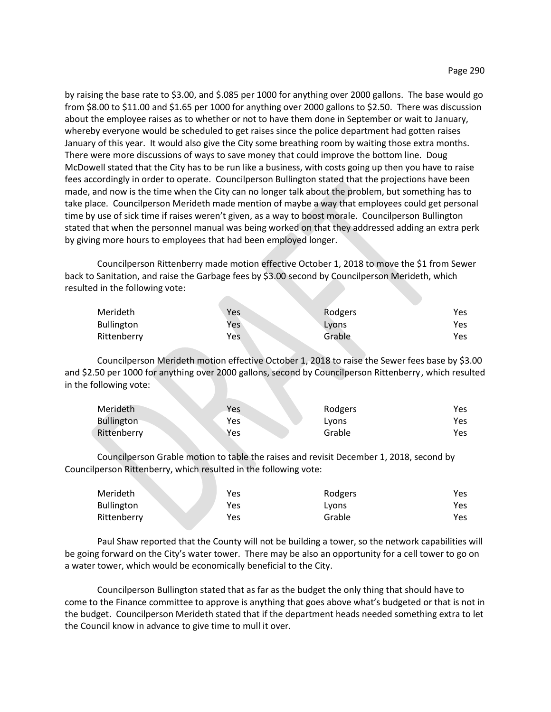by raising the base rate to \$3.00, and \$.085 per 1000 for anything over 2000 gallons. The base would go from \$8.00 to \$11.00 and \$1.65 per 1000 for anything over 2000 gallons to \$2.50. There was discussion about the employee raises as to whether or not to have them done in September or wait to January, whereby everyone would be scheduled to get raises since the police department had gotten raises January of this year. It would also give the City some breathing room by waiting those extra months. There were more discussions of ways to save money that could improve the bottom line. Doug McDowell stated that the City has to be run like a business, with costs going up then you have to raise fees accordingly in order to operate. Councilperson Bullington stated that the projections have been made, and now is the time when the City can no longer talk about the problem, but something has to take place. Councilperson Merideth made mention of maybe a way that employees could get personal time by use of sick time if raises weren't given, as a way to boost morale. Councilperson Bullington stated that when the personnel manual was being worked on that they addressed adding an extra perk by giving more hours to employees that had been employed longer.

Councilperson Rittenberry made motion effective October 1, 2018 to move the \$1 from Sewer back to Sanitation, and raise the Garbage fees by \$3.00 second by Councilperson Merideth, which resulted in the following vote:

| Merideth          | Yes | Rodgers | Yes |
|-------------------|-----|---------|-----|
| <b>Bullington</b> | Yes | Lyons   | Yes |
| Rittenberry       | Yes | Grable  | Yes |

Councilperson Merideth motion effective October 1, 2018 to raise the Sewer fees base by \$3.00 and \$2.50 per 1000 for anything over 2000 gallons, second by Councilperson Rittenberry, which resulted in the following vote:

| Merideth          | Yes | Rodgers | Yes |
|-------------------|-----|---------|-----|
| <b>Bullington</b> | Yes | Lyons   | Yes |
| Rittenberry       | Yes | Grable  | Yes |

Councilperson Grable motion to table the raises and revisit December 1, 2018, second by Councilperson Rittenberry, which resulted in the following vote:

| Merideth          | Yes | Rodgers | Yes |
|-------------------|-----|---------|-----|
| <b>Bullington</b> | Yes | Lyons   | Yes |
| Rittenberry       | Yes | Grable  | Yes |

Paul Shaw reported that the County will not be building a tower, so the network capabilities will be going forward on the City's water tower. There may be also an opportunity for a cell tower to go on a water tower, which would be economically beneficial to the City.

Councilperson Bullington stated that as far as the budget the only thing that should have to come to the Finance committee to approve is anything that goes above what's budgeted or that is not in the budget. Councilperson Merideth stated that if the department heads needed something extra to let the Council know in advance to give time to mull it over.